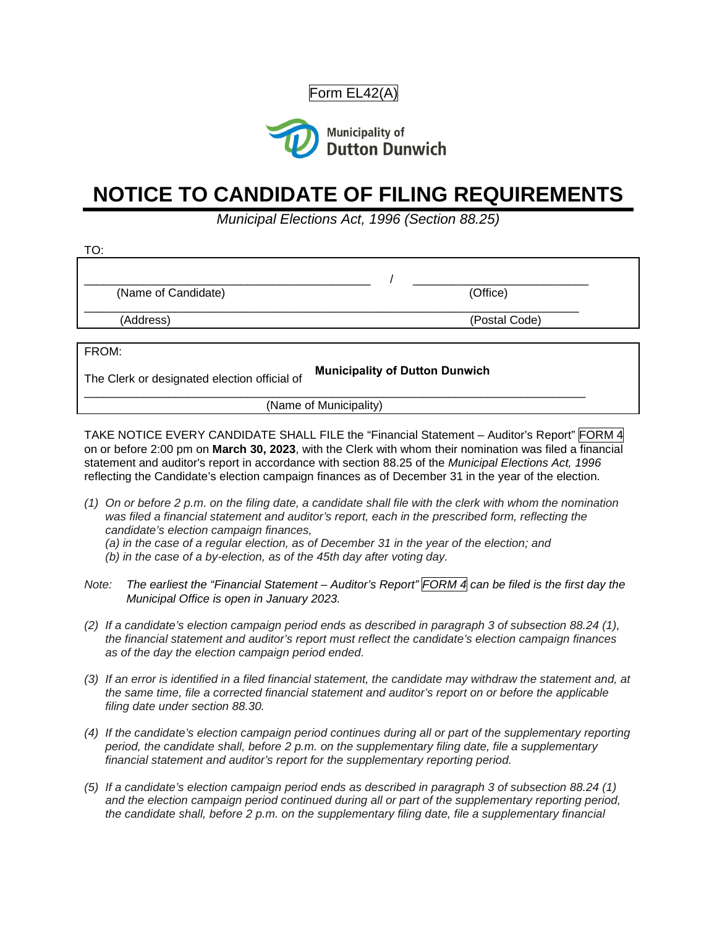Form EL42(A)



## **NOTICE TO CANDIDATE OF FILING REQUIREMENTS**

*Municipal Elections Act, 1996 (Section 88.25)*

| TO:                                          |                                       |
|----------------------------------------------|---------------------------------------|
|                                              |                                       |
| (Name of Candidate)                          | (Office)                              |
| (Address)                                    | (Postal Code)                         |
|                                              |                                       |
| FROM:                                        |                                       |
| The Clerk or designated election official of | <b>Municipality of Dutton Dunwich</b> |

(Name of Municipality)

TAKE NOTICE EVERY CANDIDATE SHALL FILE the "Financial Statement – Auditor's Report" FORM 4 on or before 2:00 pm on **March 30, 2023**, with the Clerk with whom their nomination was filed a financial statement and auditor's report in accordance with section 88.25 of the *Municipal Elections Act, 1996* reflecting the Candidate's election campaign finances as of December 31 in the year of the election.

- *(1) On or before 2 p.m. on the filing date, a candidate shall file with the clerk with whom the nomination was filed a financial statement and auditor's report, each in the prescribed form, reflecting the candidate's election campaign finances,*
	- *(a) in the case of a regular election, as of December 31 in the year of the election; and*
	- *(b) in the case of a by-election, as of the 45th day after voting day.*
- *Note: The earliest the "Financial Statement Auditor's Report" FORM 4 can be filed is the first day the Municipal Office is open in January 2023.*
- *(2) If a candidate's election campaign period ends as described in paragraph 3 of subsection 88.24 (1), the financial statement and auditor's report must reflect the candidate's election campaign finances as of the day the election campaign period ended.*
- *(3) If an error is identified in a filed financial statement, the candidate may withdraw the statement and, at the same time, file a corrected financial statement and auditor's report on or before the applicable filing date under section 88.30.*
- *(4) If the candidate's election campaign period continues during all or part of the supplementary reporting period, the candidate shall, before 2 p.m. on the supplementary filing date, file a supplementary financial statement and auditor's report for the supplementary reporting period.*
- *(5) If a candidate's election campaign period ends as described in paragraph 3 of subsection 88.24 (1) and the election campaign period continued during all or part of the supplementary reporting period, the candidate shall, before 2 p.m. on the supplementary filing date, file a supplementary financial*